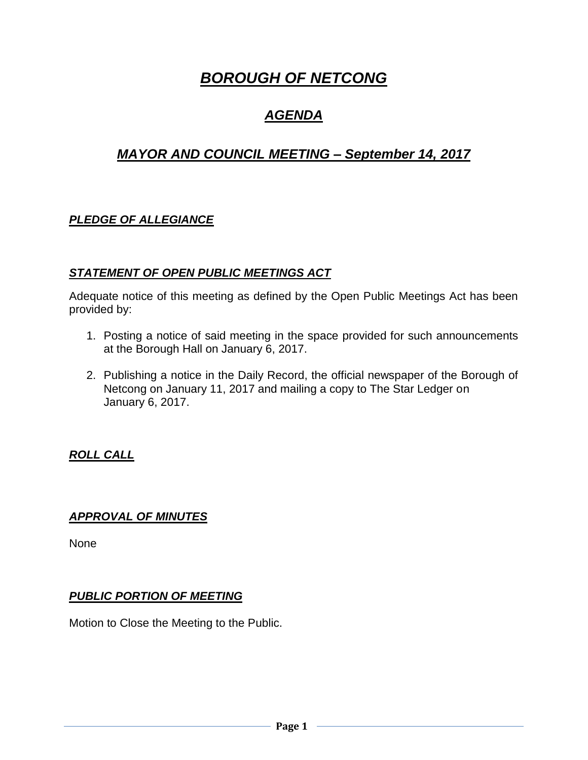# *BOROUGH OF NETCONG*

## *AGENDA*

## *MAYOR AND COUNCIL MEETING – September 14, 2017*

## *PLEDGE OF ALLEGIANCE*

## *STATEMENT OF OPEN PUBLIC MEETINGS ACT*

Adequate notice of this meeting as defined by the Open Public Meetings Act has been provided by:

- 1. Posting a notice of said meeting in the space provided for such announcements at the Borough Hall on January 6, 2017.
- 2. Publishing a notice in the Daily Record, the official newspaper of the Borough of Netcong on January 11, 2017 and mailing a copy to The Star Ledger on January 6, 2017.

## *ROLL CALL*

#### *APPROVAL OF MINUTES*

None

## *PUBLIC PORTION OF MEETING*

Motion to Close the Meeting to the Public.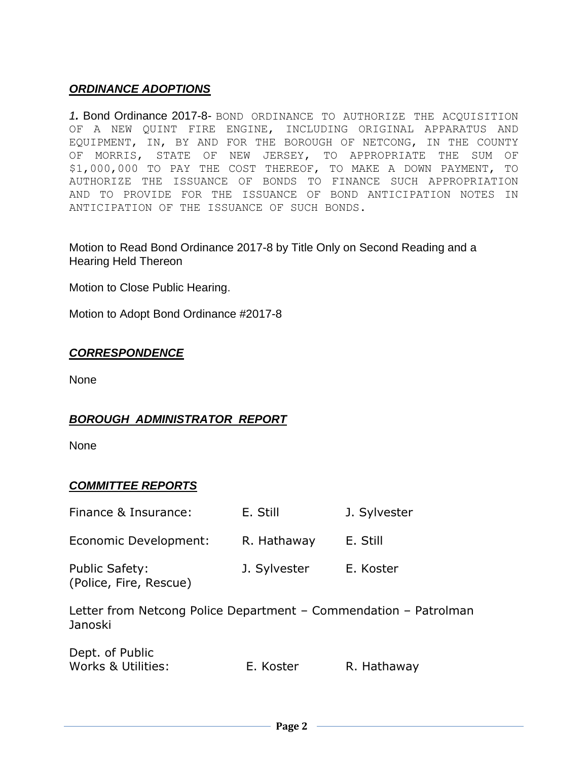## *ORDINANCE ADOPTIONS*

*1.* Bond Ordinance 2017-8*-* BOND ORDINANCE TO AUTHORIZE THE ACQUISITION OF A NEW QUINT FIRE ENGINE, INCLUDING ORIGINAL APPARATUS AND EQUIPMENT, IN, BY AND FOR THE BOROUGH OF NETCONG, IN THE COUNTY OF MORRIS, STATE OF NEW JERSEY, TO APPROPRIATE THE SUM OF \$1,000,000 TO PAY THE COST THEREOF, TO MAKE A DOWN PAYMENT, TO AUTHORIZE THE ISSUANCE OF BONDS TO FINANCE SUCH APPROPRIATION AND TO PROVIDE FOR THE ISSUANCE OF BOND ANTICIPATION NOTES IN ANTICIPATION OF THE ISSUANCE OF SUCH BONDS.

Motion to Read Bond Ordinance 2017-8 by Title Only on Second Reading and a Hearing Held Thereon

Motion to Close Public Hearing.

Motion to Adopt Bond Ordinance #2017-8

#### *CORRESPONDENCE*

None

## *BOROUGH ADMINISTRATOR REPORT*

None

## *COMMITTEE REPORTS*

| Finance & Insurance:                                                        | E. Still     | J. Sylvester |  |  |
|-----------------------------------------------------------------------------|--------------|--------------|--|--|
| Economic Development:                                                       | R. Hathaway  | E. Still     |  |  |
| <b>Public Safety:</b><br>(Police, Fire, Rescue)                             | J. Sylvester | E. Koster    |  |  |
| Letter from Netcong Police Department - Commendation - Patrolman<br>Janoski |              |              |  |  |

| Dept. of Public    |           |             |
|--------------------|-----------|-------------|
| Works & Utilities: | E. Koster | R. Hathaway |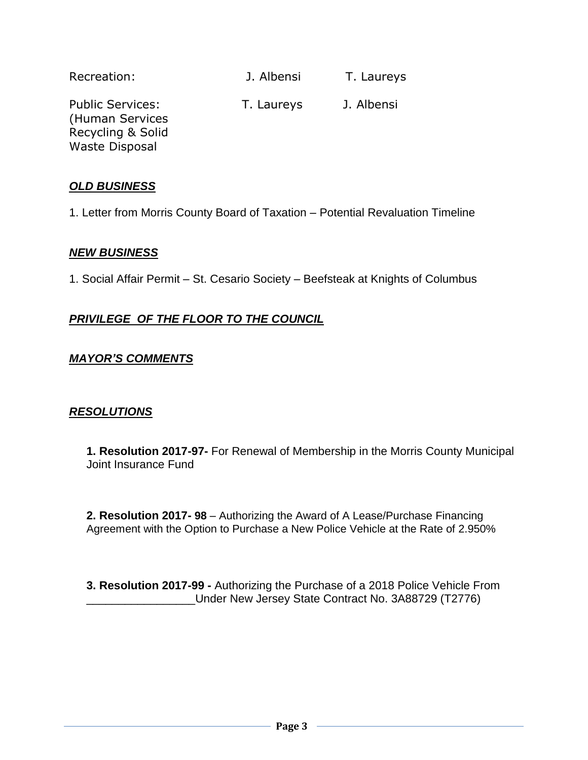| Recreation:                                                     | J. Albensi | T. Laureys |
|-----------------------------------------------------------------|------------|------------|
| <b>Public Services:</b><br>(Human Services<br>Recycling & Solid | T. Laureys | J. Albensi |
| <b>Waste Disposal</b>                                           |            |            |

#### *OLD BUSINESS*

1. Letter from Morris County Board of Taxation – Potential Revaluation Timeline

#### *NEW BUSINESS*

1. Social Affair Permit – St. Cesario Society – Beefsteak at Knights of Columbus

## *PRIVILEGE OF THE FLOOR TO THE COUNCIL*

#### *MAYOR'S COMMENTS*

#### *RESOLUTIONS*

**1. Resolution 2017-97-** For Renewal of Membership in the Morris County Municipal Joint Insurance Fund

**2. Resolution 2017- 98** – Authorizing the Award of A Lease/Purchase Financing Agreement with the Option to Purchase a New Police Vehicle at the Rate of 2.950%

**3. Resolution 2017-99 -** Authorizing the Purchase of a 2018 Police Vehicle From \_\_\_\_\_\_\_\_\_\_\_\_\_\_\_\_\_Under New Jersey State Contract No. 3A88729 (T2776)